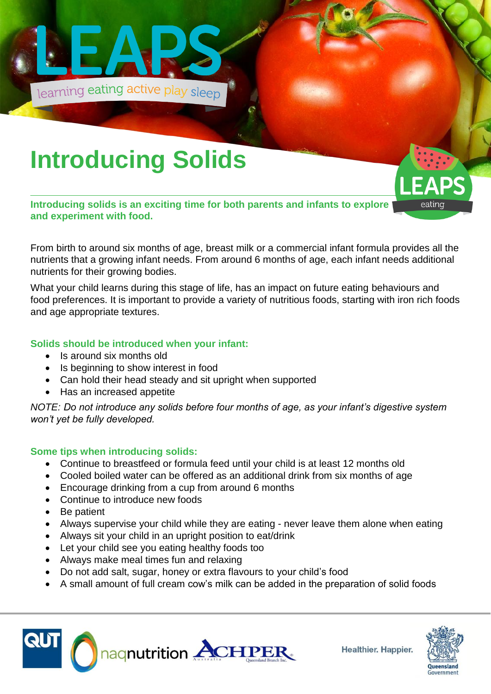

# **Introducing Solids**

**Introducing solids is an exciting time for both parents and infants to explore and experiment with food.**

From birth to around six months of age, breast milk or a commercial infant formula provides all the nutrients that a growing infant needs. From around 6 months of age, each infant needs additional nutrients for their growing bodies.

What your child learns during this stage of life, has an impact on future eating behaviours and food preferences. It is important to provide a variety of nutritious foods, starting with iron rich foods and age appropriate textures.

### **Solids should be introduced when your infant:**

- Is around six months old
- Is beginning to show interest in food
- Can hold their head steady and sit upright when supported
- Has an increased appetite

*NOTE: Do not introduce any solids before four months of age, as your infant's digestive system won't yet be fully developed.*

### **Some tips when introducing solids:**

- Continue to breastfeed or formula feed until your child is at least 12 months old
- Cooled boiled water can be offered as an additional drink from six months of age
- Encourage drinking from a cup from around 6 months
- Continue to introduce new foods
- Be patient
- Always supervise your child while they are eating never leave them alone when eating
- Always sit your child in an upright position to eat/drink
- Let your child see you eating healthy foods too
- Always make meal times fun and relaxing
- Do not add salt, sugar, honey or extra flavours to your child's food
- A small amount of full cream cow's milk can be added in the preparation of solid foods





eating